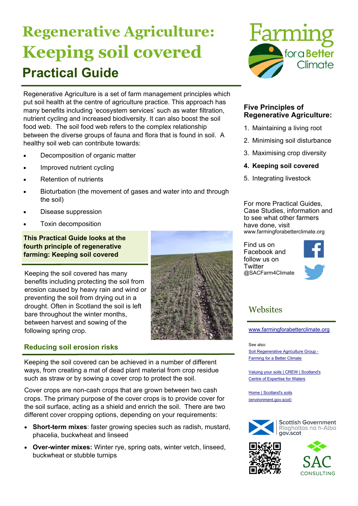# **Regenerative Agriculture: Keeping soil covered Practical Guide**

Regenerative Agriculture is a set of farm management principles which put soil health at the centre of agriculture practice. This approach has many benefits including 'ecosystem services' such as water filtration, nutrient cycling and increased biodiversity. It can also boost the soil food web. The soil food web refers to the complex relationship between the diverse groups of fauna and flora that is found in soil. A healthy soil web can contribute towards:

- Decomposition of organic matter
- Improved nutrient cycling
- Retention of nutrients
- Bioturbation (the movement of gases and water into and through the soil)
- Disease suppression
- Toxin decomposition

#### **This Practical Guide looks at the fourth principle of regenerative farming: Keeping soil covered**

Keeping the soil covered has many benefits including protecting the soil from erosion caused by heavy rain and wind or preventing the soil from drying out in a drought. Often in Scotland the soil is left bare throughout the winter months, between harvest and sowing of the following spring crop.

### **Reducing soil erosion risks**

Keeping the soil covered can be achieved in a number of different ways, from creating a mat of dead plant material from crop residue such as straw or by sowing a cover crop to protect the soil.

Cover crops are non-cash crops that are grown between two cash crops. The primary purpose of the cover crops is to provide cover for the soil surface, acting as a shield and enrich the soil. There are two different cover cropping options, depending on your requirements:

- **Short-term mixes**: faster growing species such as radish, mustard, phacelia, buckwheat and linseed
- **Over-winter mixes:** Winter rye, spring oats, winter vetch, linseed, buckwheat or stubble turnips



#### **Five Principles of Regenerative Agriculture:**

- 1. Maintaining a living root
- 2. Minimising soil disturbance
- 3. Maximising crop diversity
- **4. Keeping soil covered**
- 5. Integrating livestock

For more Practical Guides, Case Studies, information and to see what other farmers have done, visit www.farmingforabetterclimate.org

Find us on Facebook and follow us on **Twitter** @SACFarm4Climate



## **Websites**

www.farmingforabetterclimate.org

See also:

Soil Regenerative Agriculture Group - Farming for a Better Climate

Valuing your soils | CREW | Scotland's Centre of Expertise for Waters

Home | Scotland's soils (environment.gov.scot)